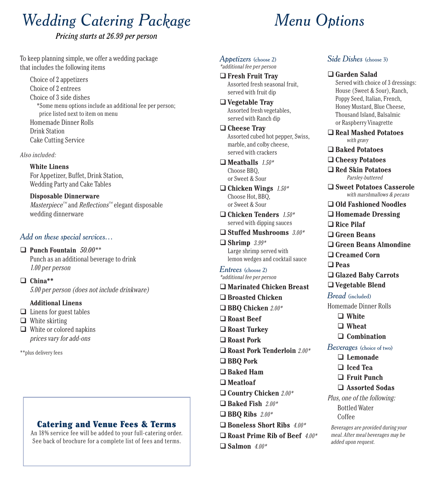# *Wedding Catering Package*

#### *Pricing starts at 26.99 per person*

To keep planning simple, we offer a wedding package that includes the following items

Choice of 2 appetizers Choice of 2 entrees Choice of 3 side dishes \*Some menu options include an additional fee per person; price listed next to item on menu Homemade Dinner Rolls Drink Station Cake Cutting Service

Also included:

**White Linens** For Appetizer, Buffet, Drink Station, Wedding Party and Cake Tables

**Disposable Dinnerware**  $Masterpiece^{\mathbb{N}}$  and *Reflections*<sup> $\mathbb{N}$ </sup> elegant disposable wedding dinnerware

#### *Add on these special services…*

 **Punch Fountain** *50.00\*\** Punch as an additional beverage to drink 1.00 per person

 **China\*\*** 5.00 per person (does not include drinkware)

#### **Additional Linens**

- $\Box$  Linens for guest tables
- $\Box$  White skirting
- White or colored napkins prices vary for add-ons

\*\*plus delivery fees

### Catering and Venue Fees & Terms

An 18% service fee will be added to your full-catering order. See back of brochure for a complete list of fees and terms.

# *Menu Options*

#### *Appetizers* (choose 2) \*additional fee per person

 **Fresh Fruit Tray** Assorted fresh seasonal fruit, served with fruit dip

 **Vegetable Tray** Assorted fresh vegetables, served with Ranch dip

 **Cheese Tray** Assorted cubed hot pepper, Swiss, marble, and colby cheese, served with crackers

 **Meatballs** 1.50\* Choose BBQ, or Sweet & Sour

 **Chicken Wings** 1.50\* Choose Hot, BBQ, or Sweet & Sour

 **Chicken Tenders** 1.50\* served with dipping sauces

- **Stuffed Mushrooms** 3.00\*
- **Shrimp** 3.99\* Large shrimp served with lemon wedges and cocktail sauce

#### *Entrees* (choose 2) \*additional fee per person

- **Marinated Chicken Breast**
- **Broasted Chicken**
- **BBQ Chicken** 2.00\*
- **Roast Beef**
- **Roast Turkey**
- **Roast Pork**
- **Roast Pork Tenderloin** 2.00\*
- **BBQ Pork**
- **Baked Ham**
- **Meatloaf**
- **Country Chicken** 2.00\*
- **Baked Fish** 2.00\*
- **BBO** Ribs  $2.00*$
- **Boneless Short Ribs** 4.00\*
- **Roast Prime Rib of Beef** 4.00\*
- **Salmon** 4.00\*

#### *Side Dishes* (choose 3)

#### **Garden Salad**

- Served with choice of 3 dressings: House (Sweet & Sour), Ranch, Poppy Seed, Italian, French, Honey Mustard, Blue Cheese, Thousand Island, Balsalmic or Raspberry Vinagrette
- **Real Mashed Potatoes**  with gravy
- **Baked Potatoes**
- **Cheesy Potatoes**
- **Red Skin Potatoes**  Parsley-buttered
- **Sweet Potatoes Casserole**  with marshmallows & pecans
- **Old Fashioned Noodles**
- **Homemade Dressing**
- **Rice Pilaf**
- **Green Beans**
- **Green Beans Almondine**
- **Creamed Corn**
- **Peas**
- **Glazed Baby Carrots**
- **Vegetable Blend**

#### *Bread* (included)

Homemade Dinner Rolls

- **White**
- **Wheat**
- **Combination**

#### *Beverages* (choice of two)

- **Lemonade**
- **Iced Tea**
- **Fruit Punch**
- **Assorted Sodas**

Plus, one of the following:

Bottled Water Coffee

Beverages are provided during your meal. After meal beverages may be added upon request.